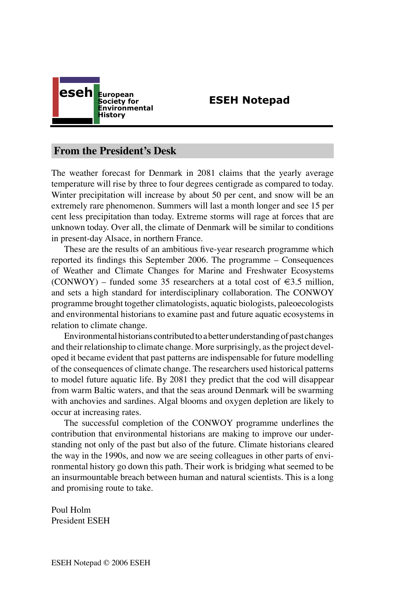

# **ESEH Notepad**

## **From the President's Desk**

The weather forecast for Denmark in 2081 claims that the yearly average temperature will rise by three to four degrees centigrade as compared to today. Winter precipitation will increase by about 50 per cent, and snow will be an extremely rare phenomenon. Summers will last a month longer and see 15 per cent less precipitation than today. Extreme storms will rage at forces that are unknown today. Over all, the climate of Denmark will be similar to conditions in present-day Alsace, in northern France.

These are the results of an ambitious five-year research programme which reported its findings this September 2006. The programme – Consequences of Weather and Climate Changes for Marine and Freshwater Ecosystems (CONWOY) – funded some 35 researchers at a total cost of  $\epsilon$ 3.5 million, and sets a high standard for interdisciplinary collaboration. The CONWOY programme brought together climatologists, aquatic biologists, paleoecologists and environmental historians to examine past and future aquatic ecosystems in relation to climate change.

Environmental historians contributed to a better understanding of past changes and their relationship to climate change. More surprisingly, as the project developed it became evident that past patterns are indispensable for future modelling of the consequences of climate change. The researchers used historical patterns to model future aquatic life. By 2081 they predict that the cod will disappear from warm Baltic waters, and that the seas around Denmark will be swarming with anchovies and sardines. Algal blooms and oxygen depletion are likely to occur at increasing rates.

The successful completion of the CONWOY programme underlines the contribution that environmental historians are making to improve our understanding not only of the past but also of the future. Climate historians cleared the way in the 1990s, and now we are seeing colleagues in other parts of environmental history go down this path. Their work is bridging what seemed to be an insurmountable breach between human and natural scientists. This is a long and promising route to take.

Poul Holm President ESEH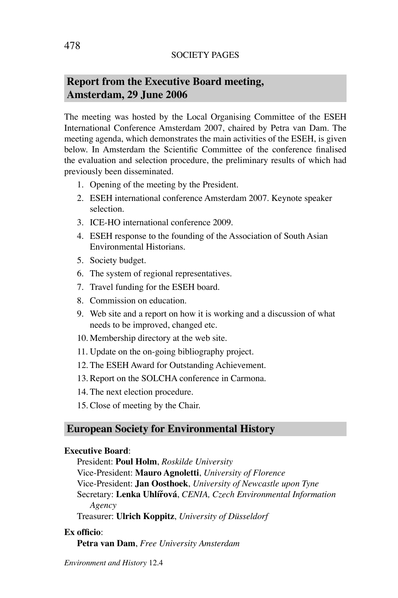# **Report from the Executive Board meeting, Amsterdam, 29 June 2006**

The meeting was hosted by the Local Organising Committee of the ESEH International Conference Amsterdam 2007, chaired by Petra van Dam. The meeting agenda, which demonstrates the main activities of the ESEH, is given below. In Amsterdam the Scientific Committee of the conference finalised the evaluation and selection procedure, the preliminary results of which had previously been disseminated.

- 1. Opening of the meeting by the President.
- 2. ESEH international conference Amsterdam 2007. Keynote speaker selection.
- 3. ICE-HO international conference 2009.
- 4. ESEH response to the founding of the Association of South Asian Environmental Historians.
- 5. Society budget.
- 6. The system of regional representatives.
- 7. Travel funding for the ESEH board.
- 8. Commission on education.
- 9. Web site and a report on how it is working and a discussion of what needs to be improved, changed etc.
- 10. Membership directory at the web site.
- 11. Update on the on-going bibliography project.
- 12. The ESEH Award for Outstanding Achievement.
- 13. Report on the SOLCHA conference in Carmona.
- 14. The next election procedure.
- 15. Close of meeting by the Chair.

## **European Society for Environmental History**

#### **Executive Board**:

President: **Poul Holm**, *Roskilde University* Vice-President: **Mauro Agnoletti**, *University of Florence* Vice-President: **Jan Oosthoek**, *University of Newcastle upon Tyne* Secretary: **Lenka Uhlířová**, *CENIA, Czech Environmental Information Agency*

Treasurer: **Ulrich Koppitz**, *University of Düsseldorf*

### **Ex officio**:

**Petra van Dam**, *Free University Amsterdam*